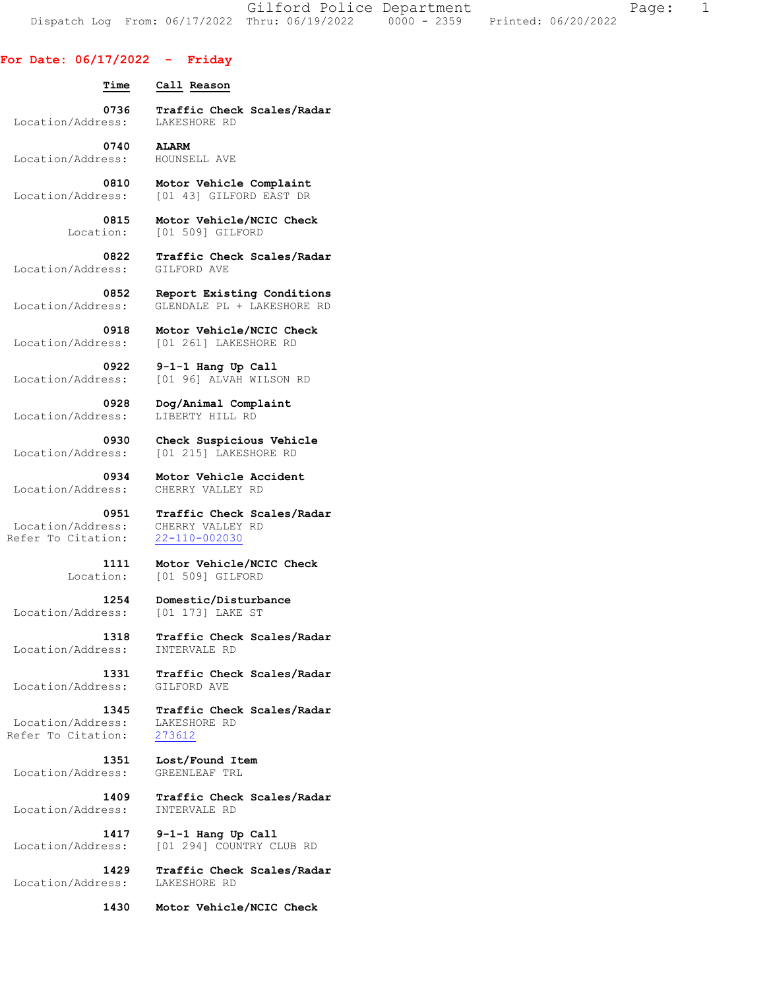Gilford Police Department Fage: 1 Dispatch Log From: 06/17/2022 Thru: 06/19/2022 0000 - 2359 Printed: 06/20/2022

## **For Date: 06/17/2022 - Friday**

 **Time Call Reason 0736 Traffic Check Scales/Radar**  Location/Address:  **0740 ALARM**  Location/Address: HOUNSELL AVE  **0810 Motor Vehicle Complaint**  Location/Address: [01 43] GILFORD EAST DR  **0815 Motor Vehicle/NCIC Check**  Location: [01 509] GILFORD  **0822 Traffic Check Scales/Radar 0918 Motor Vehicle/NCIC Check**<br>Location/Address: [01 261] LAKESHORE RD Location/Address: [01 261] LAKESHORE RD  **0922 9-1-1 Hang Up Call**  Location/Address: [01 96] ALVAH WILSON RD  **0928 Dog/Animal Complaint**  Location/Address:  **0930 Check Suspicious Vehicle**  Location/Address: [01 215] LAKESHORE RD  **0934 Motor Vehicle Accident**  Location/Address: CHERRY VALLEY RD  **0951 Traffic Check Scales/Radar**  Location/Address: CHERRY VALLEY RD Refer To Citation: 22-110-002030

> **1111 Motor Vehicle/NCIC Check**  Location: [01 509] GILFORD

Location/Address: [01 173] LAKE ST

 **1318 Traffic Check Scales/Radar**  Location/Address: INTERVALE RD

 **1331 Traffic Check Scales/Radar**  Location/Address: GILFORD AVE

 **1345 Traffic Check Scales/Radar**  Location/Address: LAKESHORE RD<br>Refer To Citation: 273612

 **1409 Traffic Check Scales/Radar** 

 **1417 9-1-1 Hang Up Call**  Location/Address: [01 294] COUNTRY CLUB RD

 **1429 Traffic Check Scales/Radar**  Location/Address: LAKESHORE RD

 **1430 Motor Vehicle/NCIC Check** 

Location/Address:

 **0852 Report Existing Conditions**  Location/Address: GLENDALE PL + LAKESHORE RD

 **1254 Domestic/Disturbance** 

Refer To Citation:

 **1351 Lost/Found Item**  Location/Address: GREENLEAF TRL

Location/Address: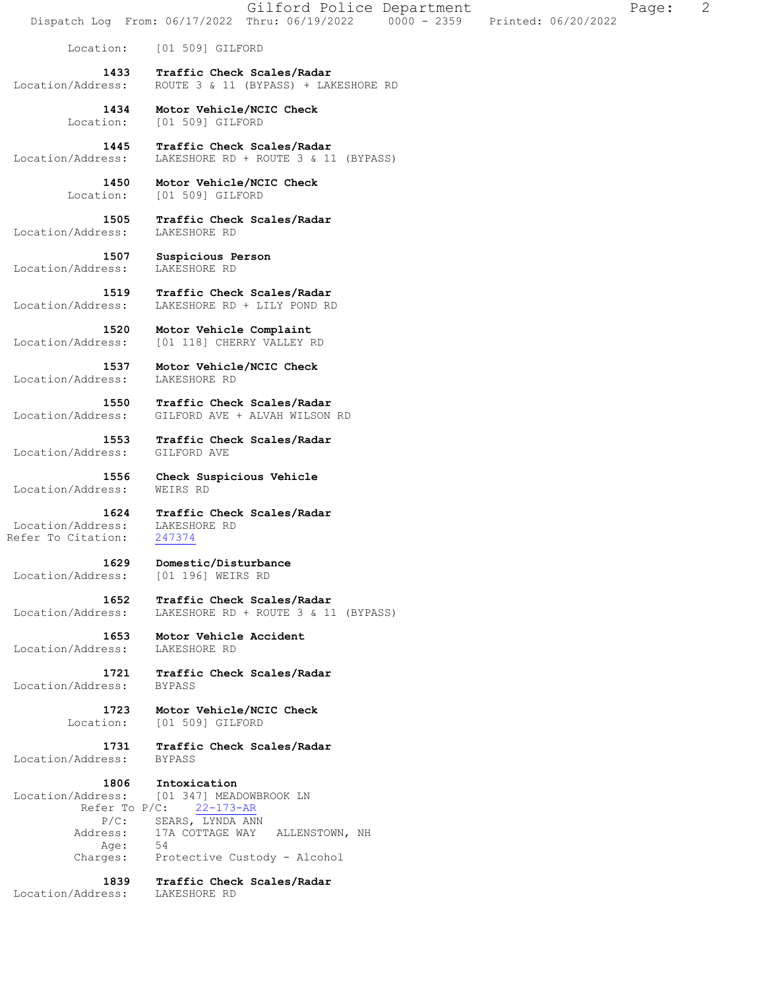Gilford Police Department Fage: 2 Dispatch Log From: 06/17/2022 Thru: 06/19/2022 0000 - 2359 Printed: 06/20/2022 Location: [01 509] GILFORD  **1433 Traffic Check Scales/Radar**  Location/Address: ROUTE 3 & 11 (BYPASS) + LAKESHORE RD  **1434 Motor Vehicle/NCIC Check**  Location: [01 509] GILFORD  **1445 Traffic Check Scales/Radar**  Location/Address: LAKESHORE RD + ROUTE 3 & 11 (BYPASS)  **1450 Motor Vehicle/NCIC Check**  Location: [01 509] GILFORD  **1505 Traffic Check Scales/Radar**  Location/Address: LAKESHORE RD  **1507 Suspicious Person**  Location/Address:  **1519 Traffic Check Scales/Radar**  Location/Address: LAKESHORE RD + LILY POND RD  **1520 Motor Vehicle Complaint**  Location/Address: [01 118] CHERRY VALLEY RD  **1537 Motor Vehicle/NCIC Check**  Location/Address: LAKESHORE RD  **1550 Traffic Check Scales/Radar**  Location/Address: GILFORD AVE + ALVAH WILSON RD  **1553 Traffic Check Scales/Radar**  Location/Address: GILFORD AVE  **1556 Check Suspicious Vehicle**  Location/Address: WEIRS RD  **1624 Traffic Check Scales/Radar**  Location/Address: LAKESHORE RD<br>kefer To Citation: 247374 Refer To Citation:  **1629 Domestic/Disturbance**  Location/Address: [01 196] WEIRS RD  **1652 Traffic Check Scales/Radar**  Location/Address: LAKESHORE RD + ROUTE 3 & 11 (BYPASS)  **1653 Motor Vehicle Accident**  Location/Address: LAKESHORE RD  **1721 Traffic Check Scales/Radar**  Location/Address:  **1723 Motor Vehicle/NCIC Check**  Location: [01 509] GILFORD  **1731 Traffic Check Scales/Radar**  Location/Address: BYPASS  **1806 Intoxication**  Location/Address: [01 347] MEADOWBROOK LN<br>Refer To P/C: 22-173-AR Refer To  $P/C$ : P/C: SEARS, LYNDA ANN Address: 17A COTTAGE WAY ALLENSTOWN, NH<br>Age: 54 Age: Charges: Protective Custody - Alcohol  **1839 Traffic Check Scales/Radar**  Location/Address: LAKESHORE RD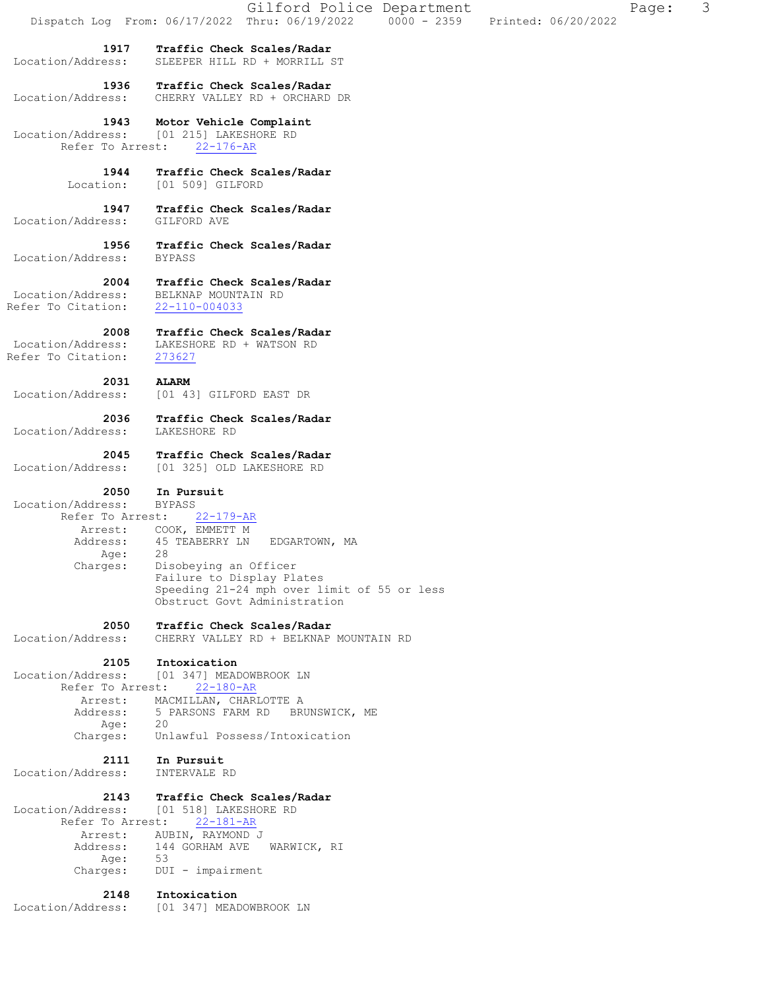| Dispatch Log From: 06/17/2022<br>1917<br>Traffic Check Scales/Radar<br>Location/Address:<br>SLEEPER HILL RD + MORRILL ST<br>Traffic Check Scales/Radar<br>1936<br>CHERRY VALLEY RD + ORCHARD DR<br>Location/Address:<br>1943<br>Motor Vehicle Complaint<br>Location/Address:<br>[01 215] LAKESHORE RD<br>Refer To Arrest:<br>$22 - 176 - AR$<br>1944<br>Traffic Check Scales/Radar<br>[01 509] GILFORD<br>Location:<br>1947<br>Traffic Check Scales/Radar<br>Location/Address:<br>GILFORD AVE<br>1956<br>Traffic Check Scales/Radar<br>Location/Address:<br><b>BYPASS</b><br>Traffic Check Scales/Radar<br>2004<br>Location/Address:<br>BELKNAP MOUNTAIN RD<br>Refer To Citation:<br>22-110-004033<br>2008<br>Traffic Check Scales/Radar<br>Location/Address:<br>LAKESHORE RD + WATSON RD<br>Refer To Citation:<br>273627<br>2031<br><b>ALARM</b><br>Location/Address:<br>[01 43] GILFORD EAST DR<br>2036<br>Traffic Check Scales/Radar<br>Location/Address:<br>LAKESHORE RD<br>2045<br>Traffic Check Scales/Radar<br>Location/Address:<br>[01 325] OLD LAKESHORE RD<br>2050<br>In Pursuit<br>Location/Address:<br><b>BYPASS</b><br>Refer To Arrest:<br>$22 - 179 - AR$<br>COOK, EMMETT M<br>Arrest:<br>45 TEABERRY LN<br>Address:<br>EDGARTOWN, MA<br>28<br>Age:<br>Charges:<br>Disobeying an Officer<br>Failure to Display Plates<br>Speeding 21-24 mph over limit of 55 or less<br>Obstruct Govt Administration<br>2050<br>Traffic Check Scales/Radar<br>Location/Address:<br>CHERRY VALLEY RD + BELKNAP MOUNTAIN RD<br>2105<br>Intoxication<br>Location/Address:<br>[01 347] MEADOWBROOK LN<br>Refer To Arrest:<br>$22 - 180 - AR$<br>MACMILLAN, CHARLOTTE A<br>Arrest:<br>Address:<br>5 PARSONS FARM RD BRUNSWICK, ME<br>20<br>Age:<br>Unlawful Possess/Intoxication<br>Charges:<br>2111<br>In Pursuit<br>Location/Address:<br>INTERVALE RD<br>2143<br>Traffic Check Scales/Radar<br>Location/Address:<br>[01 518] LAKESHORE RD<br>Refer To Arrest:<br>$22 - 181 - AR$<br>AUBIN, RAYMOND J<br>Arrest:<br>Address:<br>144 GORHAM AVE<br>WARWICK, RI<br>53<br>Age:<br>Charges:<br>DUI - impairment<br>2148<br>Intoxication<br>Location/Address:<br>[01 347] MEADOWBROOK LN | Gilford Police Department                                | Page: | 3 |
|-------------------------------------------------------------------------------------------------------------------------------------------------------------------------------------------------------------------------------------------------------------------------------------------------------------------------------------------------------------------------------------------------------------------------------------------------------------------------------------------------------------------------------------------------------------------------------------------------------------------------------------------------------------------------------------------------------------------------------------------------------------------------------------------------------------------------------------------------------------------------------------------------------------------------------------------------------------------------------------------------------------------------------------------------------------------------------------------------------------------------------------------------------------------------------------------------------------------------------------------------------------------------------------------------------------------------------------------------------------------------------------------------------------------------------------------------------------------------------------------------------------------------------------------------------------------------------------------------------------------------------------------------------------------------------------------------------------------------------------------------------------------------------------------------------------------------------------------------------------------------------------------------------------------------------------------------------------------------------------------------------------------------------------------------------------------------------------------------------------------------------------------------------------------------------|----------------------------------------------------------|-------|---|
|                                                                                                                                                                                                                                                                                                                                                                                                                                                                                                                                                                                                                                                                                                                                                                                                                                                                                                                                                                                                                                                                                                                                                                                                                                                                                                                                                                                                                                                                                                                                                                                                                                                                                                                                                                                                                                                                                                                                                                                                                                                                                                                                                                               | Thru: 06/19/2022<br>$0000 - 2359$<br>Printed: 06/20/2022 |       |   |
|                                                                                                                                                                                                                                                                                                                                                                                                                                                                                                                                                                                                                                                                                                                                                                                                                                                                                                                                                                                                                                                                                                                                                                                                                                                                                                                                                                                                                                                                                                                                                                                                                                                                                                                                                                                                                                                                                                                                                                                                                                                                                                                                                                               |                                                          |       |   |
|                                                                                                                                                                                                                                                                                                                                                                                                                                                                                                                                                                                                                                                                                                                                                                                                                                                                                                                                                                                                                                                                                                                                                                                                                                                                                                                                                                                                                                                                                                                                                                                                                                                                                                                                                                                                                                                                                                                                                                                                                                                                                                                                                                               |                                                          |       |   |
|                                                                                                                                                                                                                                                                                                                                                                                                                                                                                                                                                                                                                                                                                                                                                                                                                                                                                                                                                                                                                                                                                                                                                                                                                                                                                                                                                                                                                                                                                                                                                                                                                                                                                                                                                                                                                                                                                                                                                                                                                                                                                                                                                                               |                                                          |       |   |
|                                                                                                                                                                                                                                                                                                                                                                                                                                                                                                                                                                                                                                                                                                                                                                                                                                                                                                                                                                                                                                                                                                                                                                                                                                                                                                                                                                                                                                                                                                                                                                                                                                                                                                                                                                                                                                                                                                                                                                                                                                                                                                                                                                               |                                                          |       |   |
|                                                                                                                                                                                                                                                                                                                                                                                                                                                                                                                                                                                                                                                                                                                                                                                                                                                                                                                                                                                                                                                                                                                                                                                                                                                                                                                                                                                                                                                                                                                                                                                                                                                                                                                                                                                                                                                                                                                                                                                                                                                                                                                                                                               |                                                          |       |   |
|                                                                                                                                                                                                                                                                                                                                                                                                                                                                                                                                                                                                                                                                                                                                                                                                                                                                                                                                                                                                                                                                                                                                                                                                                                                                                                                                                                                                                                                                                                                                                                                                                                                                                                                                                                                                                                                                                                                                                                                                                                                                                                                                                                               |                                                          |       |   |
|                                                                                                                                                                                                                                                                                                                                                                                                                                                                                                                                                                                                                                                                                                                                                                                                                                                                                                                                                                                                                                                                                                                                                                                                                                                                                                                                                                                                                                                                                                                                                                                                                                                                                                                                                                                                                                                                                                                                                                                                                                                                                                                                                                               |                                                          |       |   |
|                                                                                                                                                                                                                                                                                                                                                                                                                                                                                                                                                                                                                                                                                                                                                                                                                                                                                                                                                                                                                                                                                                                                                                                                                                                                                                                                                                                                                                                                                                                                                                                                                                                                                                                                                                                                                                                                                                                                                                                                                                                                                                                                                                               |                                                          |       |   |
|                                                                                                                                                                                                                                                                                                                                                                                                                                                                                                                                                                                                                                                                                                                                                                                                                                                                                                                                                                                                                                                                                                                                                                                                                                                                                                                                                                                                                                                                                                                                                                                                                                                                                                                                                                                                                                                                                                                                                                                                                                                                                                                                                                               |                                                          |       |   |
|                                                                                                                                                                                                                                                                                                                                                                                                                                                                                                                                                                                                                                                                                                                                                                                                                                                                                                                                                                                                                                                                                                                                                                                                                                                                                                                                                                                                                                                                                                                                                                                                                                                                                                                                                                                                                                                                                                                                                                                                                                                                                                                                                                               |                                                          |       |   |
|                                                                                                                                                                                                                                                                                                                                                                                                                                                                                                                                                                                                                                                                                                                                                                                                                                                                                                                                                                                                                                                                                                                                                                                                                                                                                                                                                                                                                                                                                                                                                                                                                                                                                                                                                                                                                                                                                                                                                                                                                                                                                                                                                                               |                                                          |       |   |
|                                                                                                                                                                                                                                                                                                                                                                                                                                                                                                                                                                                                                                                                                                                                                                                                                                                                                                                                                                                                                                                                                                                                                                                                                                                                                                                                                                                                                                                                                                                                                                                                                                                                                                                                                                                                                                                                                                                                                                                                                                                                                                                                                                               |                                                          |       |   |
|                                                                                                                                                                                                                                                                                                                                                                                                                                                                                                                                                                                                                                                                                                                                                                                                                                                                                                                                                                                                                                                                                                                                                                                                                                                                                                                                                                                                                                                                                                                                                                                                                                                                                                                                                                                                                                                                                                                                                                                                                                                                                                                                                                               |                                                          |       |   |
|                                                                                                                                                                                                                                                                                                                                                                                                                                                                                                                                                                                                                                                                                                                                                                                                                                                                                                                                                                                                                                                                                                                                                                                                                                                                                                                                                                                                                                                                                                                                                                                                                                                                                                                                                                                                                                                                                                                                                                                                                                                                                                                                                                               |                                                          |       |   |
|                                                                                                                                                                                                                                                                                                                                                                                                                                                                                                                                                                                                                                                                                                                                                                                                                                                                                                                                                                                                                                                                                                                                                                                                                                                                                                                                                                                                                                                                                                                                                                                                                                                                                                                                                                                                                                                                                                                                                                                                                                                                                                                                                                               |                                                          |       |   |
|                                                                                                                                                                                                                                                                                                                                                                                                                                                                                                                                                                                                                                                                                                                                                                                                                                                                                                                                                                                                                                                                                                                                                                                                                                                                                                                                                                                                                                                                                                                                                                                                                                                                                                                                                                                                                                                                                                                                                                                                                                                                                                                                                                               |                                                          |       |   |
|                                                                                                                                                                                                                                                                                                                                                                                                                                                                                                                                                                                                                                                                                                                                                                                                                                                                                                                                                                                                                                                                                                                                                                                                                                                                                                                                                                                                                                                                                                                                                                                                                                                                                                                                                                                                                                                                                                                                                                                                                                                                                                                                                                               |                                                          |       |   |
|                                                                                                                                                                                                                                                                                                                                                                                                                                                                                                                                                                                                                                                                                                                                                                                                                                                                                                                                                                                                                                                                                                                                                                                                                                                                                                                                                                                                                                                                                                                                                                                                                                                                                                                                                                                                                                                                                                                                                                                                                                                                                                                                                                               |                                                          |       |   |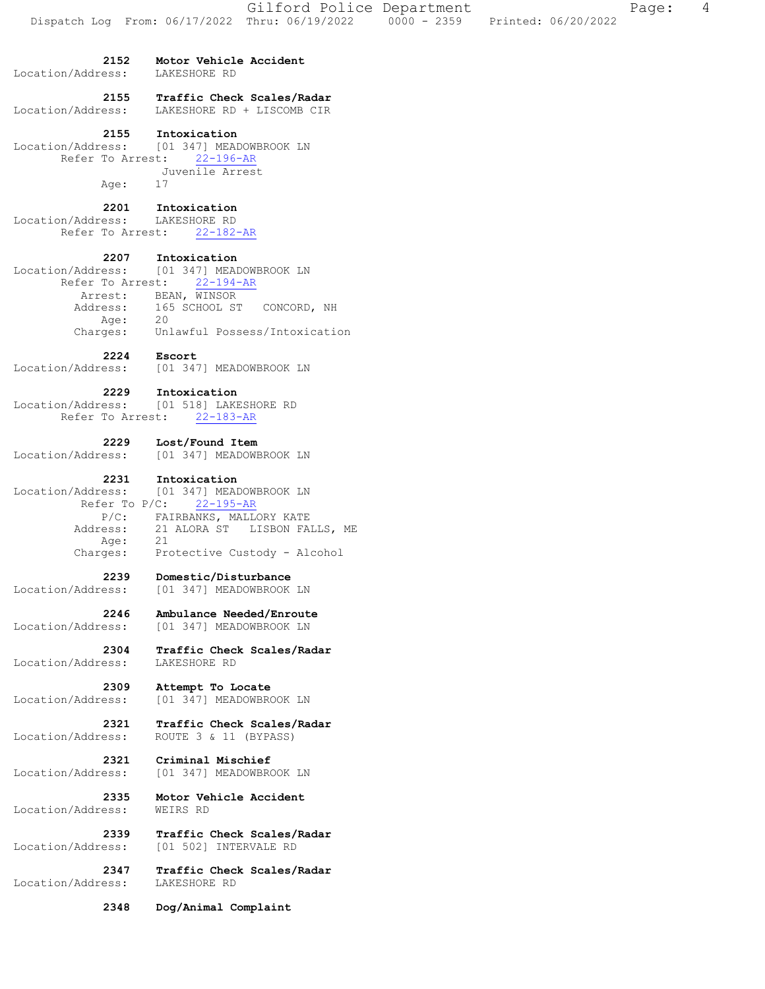**2152 Motor Vehicle Accident**  Location/Address: LAKESHORE RD  **2155 Traffic Check Scales/Radar**  Location/Address: LAKESHORE RD + LISCOMB CIR  **2155 Intoxication**  Location/Address: [01 347] MEADOWBROOK LN Refer To Arrest: 22-196-AR Juvenile Arrest Age: 17  **2201 Intoxication**  Location/Address: LAKESHORE RD Refer To Arrest: 22-182-AR  **2207 Intoxication**  Location/Address: [01 347] MEADOWBROOK LN Refer To Arrest: 22-194-AR Arrest: BEAN, WINSOR Address: 165 SCHOOL ST CONCORD, NH Age: 20 Charges: Unlawful Possess/Intoxication **2224 Escort**<br>Location/Address: [01 347 [01 347] MEADOWBROOK LN  **2229 Intoxication**  Location/Address: [01 518] LAKESHORE RD Refer To Arrest: 22-183-AR  **2229 Lost/Found Item**  Location/Address: [01 347] MEADOWBROOK LN  **2231 Intoxication**  Location/Address: [01 347] MEADOWBROOK LN Refer To P/C: 22-195-AR P/C: FAIRBANKS, MALLORY KATE Address: 21 ALORA ST LISBON FALLS, ME Age: 21 Aye. 21<br>Charges: Protective Custody - Alcohol  **2239 Domestic/Disturbance**  Location/Address: [01 347] MEADOWBROOK LN  **2246 Ambulance Needed/Enroute**  Location/Address: [01 347] MEADOWBROOK LN  **2304 Traffic Check Scales/Radar**  Location/Address: LAKESHORE RD  **2309 Attempt To Locate**  Location/Address: [01 347] MEADOWBROOK LN  **2321 Traffic Check Scales/Radar**  Location/Address: ROUTE 3 & 11 (BYPASS)  **2321 Criminal Mischief**  Location/Address: [01 347] MEADOWBROOK LN  **2335 Motor Vehicle Accident**  Location/Address:  **2339 Traffic Check Scales/Radar**  Location/Address: [01 502] INTERVALE RD  **2347 Traffic Check Scales/Radar**  Location/Address: LAKESHORE RD  **2348 Dog/Animal Complaint**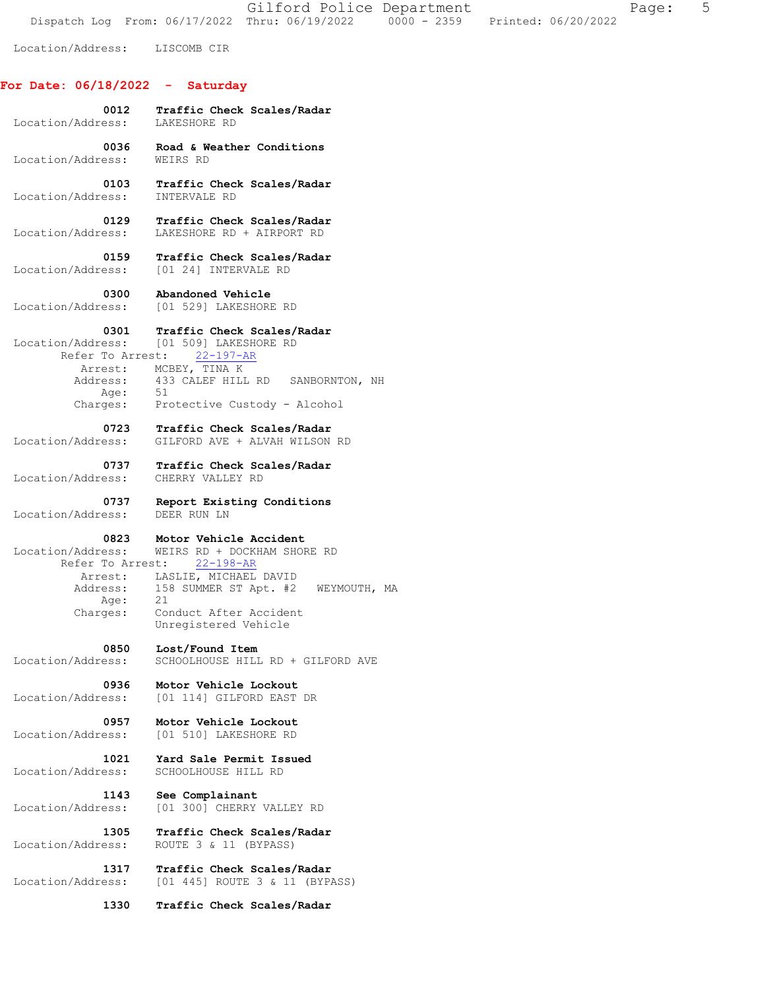Gilford Police Department The Page: 5 Dispatch Log From: 06/17/2022 Thru: 06/19/2022 0000 - 2359 Printed: 06/20/2022

Location/Address: LISCOMB CIR

## **For Date: 06/18/2022 - Saturday**

| Location/Address:                                                                        | 0012 Traffic Check Scales/Radar<br>LAKESHORE RD                                                                                                                                                 |
|------------------------------------------------------------------------------------------|-------------------------------------------------------------------------------------------------------------------------------------------------------------------------------------------------|
| 0036                                                                                     | Road & Weather Conditions                                                                                                                                                                       |
| Location/Address:                                                                        | WEIRS RD                                                                                                                                                                                        |
| 0103                                                                                     | Traffic Check Scales/Radar                                                                                                                                                                      |
| Location/Address:                                                                        | INTERVALE RD                                                                                                                                                                                    |
| 0129                                                                                     | Traffic Check Scales/Radar                                                                                                                                                                      |
| Location/Address:                                                                        | LAKESHORE RD + AIRPORT RD                                                                                                                                                                       |
| 0159                                                                                     | Traffic Check Scales/Radar                                                                                                                                                                      |
| Location/Address:                                                                        | [01 24] INTERVALE RD                                                                                                                                                                            |
| 0300 - 1                                                                                 | Abandoned Vehicle                                                                                                                                                                               |
| Location/Address:                                                                        | [01 529] LAKESHORE RD                                                                                                                                                                           |
| 0301<br>Location/Address:<br>Arrest:<br>Address:<br>Age: 51                              | Traffic Check Scales/Radar<br>[01 509] LAKESHORE RD<br>Refer To Arrest: 22-197-AR<br>MCBEY, TINA K<br>433 CALEF HILL RD SANBORNTON, NH<br>Charges: Protective Custody - Alcohol                 |
| 0723                                                                                     | Traffic Check Scales/Radar                                                                                                                                                                      |
| Location/Address:                                                                        | GILFORD AVE + ALVAH WILSON RD                                                                                                                                                                   |
| 0737                                                                                     | Traffic Check Scales/Radar                                                                                                                                                                      |
| Location/Address:                                                                        | CHERRY VALLEY RD                                                                                                                                                                                |
| 0737                                                                                     | Report Existing Conditions                                                                                                                                                                      |
| Location/Address:                                                                        | DEER RUN LN                                                                                                                                                                                     |
| 0823<br>Location/Address:<br>Refer To Arrest:<br>Arrest:<br>Address:<br>Age:<br>Charges: | Motor Vehicle Accident<br>WEIRS RD + DOCKHAM SHORE RD<br>$22 - 198 - AR$<br>LASLIE, MICHAEL DAVID<br>158 SUMMER ST Apt. #2 WEYMOUTH, MA<br>21<br>Conduct After Accident<br>Unregistered Vehicle |
| 0850                                                                                     | Lost/Found Item                                                                                                                                                                                 |
| Location/Address:                                                                        | SCHOOLHOUSE HILL RD + GILFORD AVE                                                                                                                                                               |
| 0936                                                                                     | Motor Vehicle Lockout                                                                                                                                                                           |
| Location/Address:                                                                        | [01 114] GILFORD EAST DR                                                                                                                                                                        |
| 0957 -                                                                                   | Motor Vehicle Lockout                                                                                                                                                                           |
| Location/Address:                                                                        | [01 510] LAKESHORE RD                                                                                                                                                                           |
| 1021                                                                                     | Yard Sale Permit Issued                                                                                                                                                                         |
| Location/Address:                                                                        | SCHOOLHOUSE HILL RD                                                                                                                                                                             |
| 1143                                                                                     | See Complainant                                                                                                                                                                                 |
| Location/Address:                                                                        | [01 300] CHERRY VALLEY RD                                                                                                                                                                       |
| 1305                                                                                     | Traffic Check Scales/Radar                                                                                                                                                                      |
| Location/Address:                                                                        | ROUTE 3 & 11 (BYPASS)                                                                                                                                                                           |
| 1317                                                                                     | Traffic Check Scales/Radar                                                                                                                                                                      |
| Location/Address:                                                                        | [01 445] ROUTE 3 & 11 (BYPASS)                                                                                                                                                                  |

 **1330 Traffic Check Scales/Radar**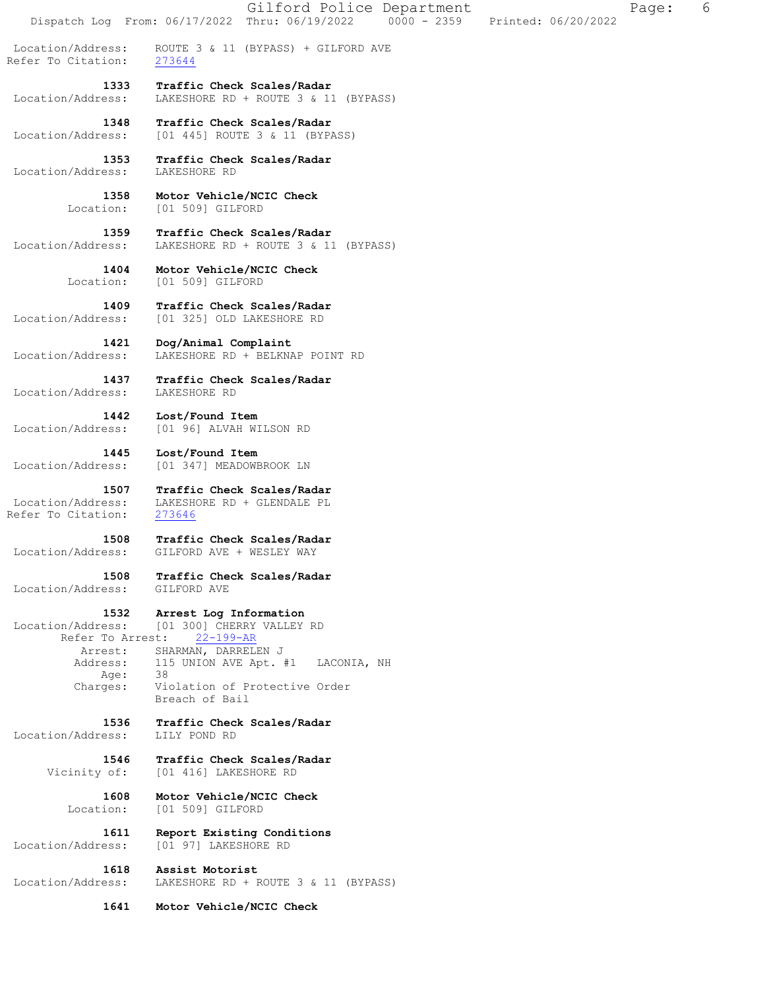Dispatch Log From: 06/17/2022 Thru: 06/19/2022 0000 - 2359 Printed: 06/20/2022 Location/Address: ROUTE 3 & 11 (BYPASS) + GILFORD AVE<br>Refer To Citation: 273644 Refer To Citation:  **1333 Traffic Check Scales/Radar**  Location/Address: LAKESHORE RD + ROUTE 3 & 11 (BYPASS)  **1348 Traffic Check Scales/Radar**  Location/Address: [01 445] ROUTE 3 & 11 (BYPASS)  **1353 Traffic Check Scales/Radar**  Location/Address:  **1358 Motor Vehicle/NCIC Check**  Location: [01 509] GILFORD  **1359 Traffic Check Scales/Radar**  Location/Address: LAKESHORE RD + ROUTE 3 & 11 (BYPASS)  **1404 Motor Vehicle/NCIC Check**  Location: [01 509] GILFORD  **1409 Traffic Check Scales/Radar**  Location/Address: [01 325] OLD LAKESHORE RD  **1421 Dog/Animal Complaint**  Location/Address: LAKESHORE RD + BELKNAP POINT RD  **1437 Traffic Check Scales/Radar**  Location/Address: LAKESHORE RD  **1442 Lost/Found Item**  Location/Address: [01 96] ALVAH WILSON RD  **1445 Lost/Found Item**  Location/Address: [01 347] MEADOWBROOK LN  **1507 Traffic Check Scales/Radar**  Location/Address: LAKESHORE RD + GLENDALE PL<br>Refer To Citation: 273646 Refer To Citation:  **1508 Traffic Check Scales/Radar**  Location/Address: GILFORD AVE + WESLEY WAY  **1508 Traffic Check Scales/Radar**  Location/Address: GILFORD AVE  **1532 Arrest Log Information**  Location/Address: [01 300] CHERRY VALLEY RD Refer To Arrest: 22-199-AR Arrest: SHARMAN, DARRELEN J Address: 115 UNION AVE Apt. #1 LACONIA, NH<br>Age: 38 Age: Charges: Violation of Protective Order Breach of Bail  **1536 Traffic Check Scales/Radar**  Location/Address: LILY POND RD  **1546 Traffic Check Scales/Radar**  Vicinity of: [01 416] LAKESHORE RD  **1608 Motor Vehicle/NCIC Check**  Location: [01 509] GILFORD  **1611 Report Existing Conditions**  Location/Address: [01 97] LAKESHORE RD  **1618 Assist Motorist**  Location/Address: LAKESHORE RD + ROUTE 3 & 11 (BYPASS)

 **1641 Motor Vehicle/NCIC Check** 

Gilford Police Department The Page: 6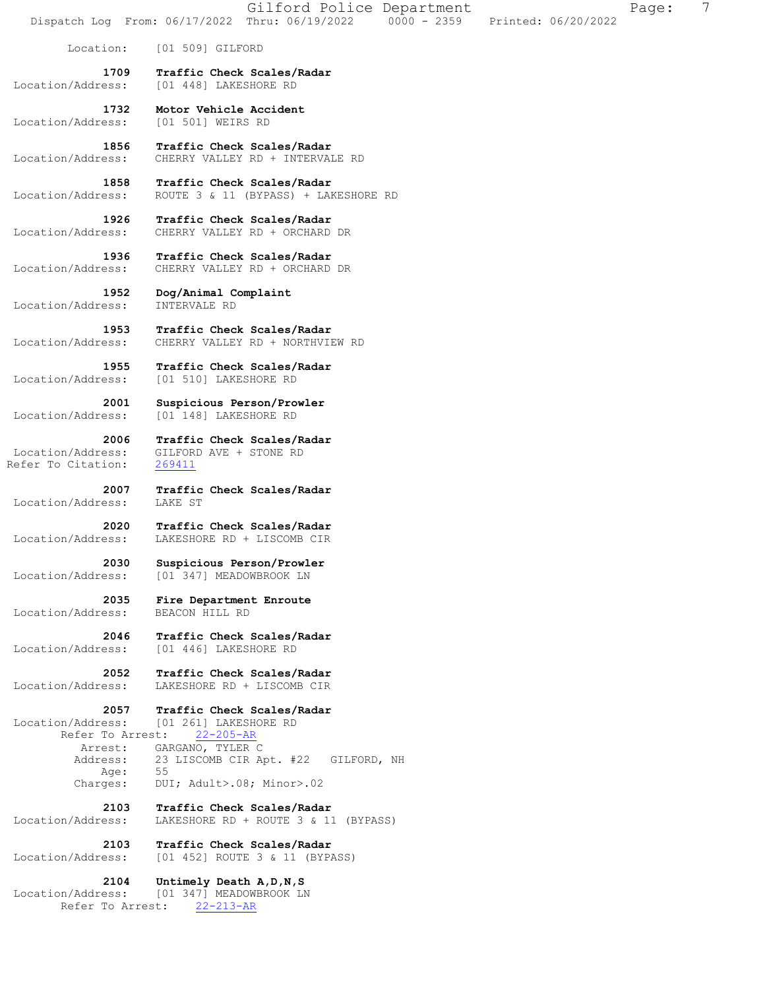|                                                 | Dispatch Log From: 06/17/2022 Thru: 06/19/2022                         | $0000 - 2359$ | Printed: 06/20/2022 |  |
|-------------------------------------------------|------------------------------------------------------------------------|---------------|---------------------|--|
| Location:                                       | [01 509] GILFORD                                                       |               |                     |  |
| 1709<br>Location/Address:                       | Traffic Check Scales/Radar<br>[01 448] LAKESHORE RD                    |               |                     |  |
| 1732<br>Location/Address:                       | Motor Vehicle Accident<br>[01 501] WEIRS RD                            |               |                     |  |
| 1856<br>Location/Address:                       | Traffic Check Scales/Radar<br>CHERRY VALLEY RD + INTERVALE RD          |               |                     |  |
| 1858<br>Location/Address:                       | Traffic Check Scales/Radar<br>ROUTE 3 & 11 (BYPASS) + LAKESHORE RD     |               |                     |  |
| 1926<br>Location/Address:                       | Traffic Check Scales/Radar<br>CHERRY VALLEY RD + ORCHARD DR            |               |                     |  |
| 1936<br>Location/Address:                       | Traffic Check Scales/Radar<br>CHERRY VALLEY RD + ORCHARD DR            |               |                     |  |
| 1952<br>Location/Address:                       | Dog/Animal Complaint<br>INTERVALE RD                                   |               |                     |  |
| 1953<br>Location/Address:                       | Traffic Check Scales/Radar<br>CHERRY VALLEY RD + NORTHVIEW RD          |               |                     |  |
| 1955<br>Location/Address:                       | Traffic Check Scales/Radar<br>[01 510] LAKESHORE RD                    |               |                     |  |
| 2001<br>Location/Address:                       | Suspicious Person/Prowler<br>[01 148] LAKESHORE RD                     |               |                     |  |
| 2006<br>Location/Address:<br>Refer To Citation: | Traffic Check Scales/Radar<br>GILFORD AVE + STONE RD<br>269411         |               |                     |  |
| 2007<br>Location/Address:                       | Traffic Check Scales/Radar<br>LAKE ST                                  |               |                     |  |
| 2020<br>Location/Address:                       | Traffic Check Scales/Radar<br>LAKESHORE RD + LISCOMB CIR               |               |                     |  |
| 2030                                            | Suspicious Person/Prowler<br>Location/Address: [01 347] MEADOWBROOK LN |               |                     |  |
| 2035<br>Location/Address:                       | Fire Department Enroute<br>BEACON HILL RD                              |               |                     |  |
| 2046<br>Location/Address:                       | Traffic Check Scales/Radar<br>[01 446] LAKESHORE RD                    |               |                     |  |
| 2052<br>Location/Address:                       | Traffic Check Scales/Radar<br>LAKESHORE RD + LISCOMB CIR               |               |                     |  |
| 2057<br>Location/Address:<br>Refer To Arrest:   | Traffic Check Scales/Radar<br>[01 261] LAKESHORE RD<br>$22 - 205 - AR$ |               |                     |  |
| Arrest:<br>Address:<br>Age:                     | GARGANO, TYLER C<br>23 LISCOMB CIR Apt. #22 GILFORD, NH<br>55          |               |                     |  |
| Charges:<br>2103                                | DUI; Adult>.08; Minor>.02<br>Traffic Check Scales/Radar                |               |                     |  |
| Location/Address:<br>2103                       | LAKESHORE RD + ROUTE 3 & 11 (BYPASS)<br>Traffic Check Scales/Radar     |               |                     |  |
| Location/Address:<br>2104                       | [01 452] ROUTE 3 & 11 (BYPASS)<br>Untimely Death A, D, N, S            |               |                     |  |
| Location/Address:<br>Refer To Arrest:           | [01 347] MEADOWBROOK LN<br>$22 - 213 - AR$                             |               |                     |  |

Gilford Police Department Fage: 7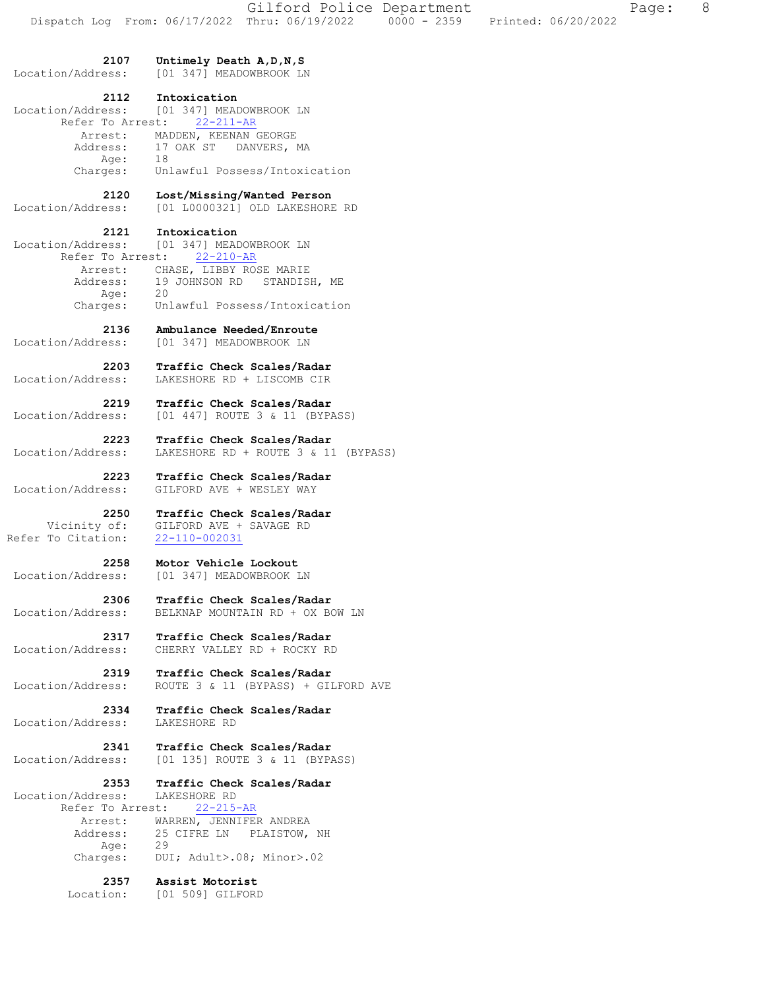| 2107                                                                 | Untimely Death A, D, N, S                                                                                                                                             |
|----------------------------------------------------------------------|-----------------------------------------------------------------------------------------------------------------------------------------------------------------------|
| Location/Address:                                                    | [01 347] MEADOWBROOK LN                                                                                                                                               |
| 2112<br>Location/Address:                                            | Intoxication<br>[01 347] MEADOWBROOK LN<br>Refer To Arrest: 22-211-AR                                                                                                 |
| Address:<br>Age:<br>Charges:                                         | Arrest: MADDEN, KEENAN GEORGE<br>17 OAK ST DANVERS, MA<br>18<br>Unlawful Possess/Intoxication                                                                         |
| 2120                                                                 | Lost/Missing/Wanted Person                                                                                                                                            |
| Location/Address:                                                    | [01 L0000321] OLD LAKESHORE RD                                                                                                                                        |
| 2121<br>Location/Address:<br>Arrest:<br>Address:<br>Aqe:<br>Charges: | Intoxication<br>[01 347] MEADOWBROOK LN<br>Refer To Arrest: 22-210-AR<br>CHASE, LIBBY ROSE MARIE<br>19 JOHNSON RD STANDISH, ME<br>20<br>Unlawful Possess/Intoxication |
| 2136                                                                 | Ambulance Needed/Enroute                                                                                                                                              |
| Location/Address:                                                    | [01 347] MEADOWBROOK LN                                                                                                                                               |
| 2203                                                                 | Traffic Check Scales/Radar                                                                                                                                            |
| Location/Address:                                                    | LAKESHORE RD + LISCOMB CIR                                                                                                                                            |
| 2219                                                                 | Traffic Check Scales/Radar                                                                                                                                            |
| Location/Address:                                                    | [01 447] ROUTE 3 & 11 (BYPASS)                                                                                                                                        |
| 2223                                                                 | Traffic Check Scales/Radar                                                                                                                                            |
| Location/Address:                                                    | LAKESHORE RD + ROUTE 3 & 11 (BYPASS)                                                                                                                                  |
| 2223                                                                 | Traffic Check Scales/Radar                                                                                                                                            |
| Location/Address:                                                    | GILFORD AVE + WESLEY WAY                                                                                                                                              |
| 2250                                                                 | Traffic Check Scales/Radar                                                                                                                                            |
| Vicinity of:                                                         | GILFORD AVE + SAVAGE RD                                                                                                                                               |
| Refer To Citation:                                                   | 22-110-002031                                                                                                                                                         |
| 2258                                                                 | Motor Vehicle Lockout                                                                                                                                                 |
| Location/Address:                                                    | [01 347] MEADOWBROOK LN                                                                                                                                               |
| 2306                                                                 | Traffic Check Scales/Radar                                                                                                                                            |
| Location/Address:                                                    | BELKNAP MOUNTAIN RD + OX BOW LN                                                                                                                                       |
| 2317                                                                 | Traffic Check Scales/Radar<br>Location/Address: CHERRY VALLEY RD + ROCKY RD                                                                                           |
| 2319                                                                 | Traffic Check Scales/Radar                                                                                                                                            |
| Location/Address:                                                    | ROUTE 3 & 11 (BYPASS) + GILFORD AVE                                                                                                                                   |
| 2334                                                                 | Traffic Check Scales/Radar                                                                                                                                            |
| Location/Address:                                                    | LAKESHORE RD                                                                                                                                                          |
| 2341                                                                 | Traffic Check Scales/Radar                                                                                                                                            |
| Location/Address:                                                    | [01 135] ROUTE 3 & 11 (BYPASS)                                                                                                                                        |
| 2353                                                                 | Traffic Check Scales/Radar                                                                                                                                            |
| Location/Address:                                                    | LAKESHORE RD                                                                                                                                                          |
| Refer To Arrest:                                                     | $22 - 215 - AR$                                                                                                                                                       |
| Arrest:                                                              | WARREN, JENNIFER ANDREA                                                                                                                                               |
| Address:                                                             | 25 CIFRE LN PLAISTOW, NH                                                                                                                                              |
| Age:                                                                 | 29                                                                                                                                                                    |
| Charges:                                                             | DUI; Adult>.08; Minor>.02                                                                                                                                             |

 **2357 Assist Motorist** 

Location: [01 509] GILFORD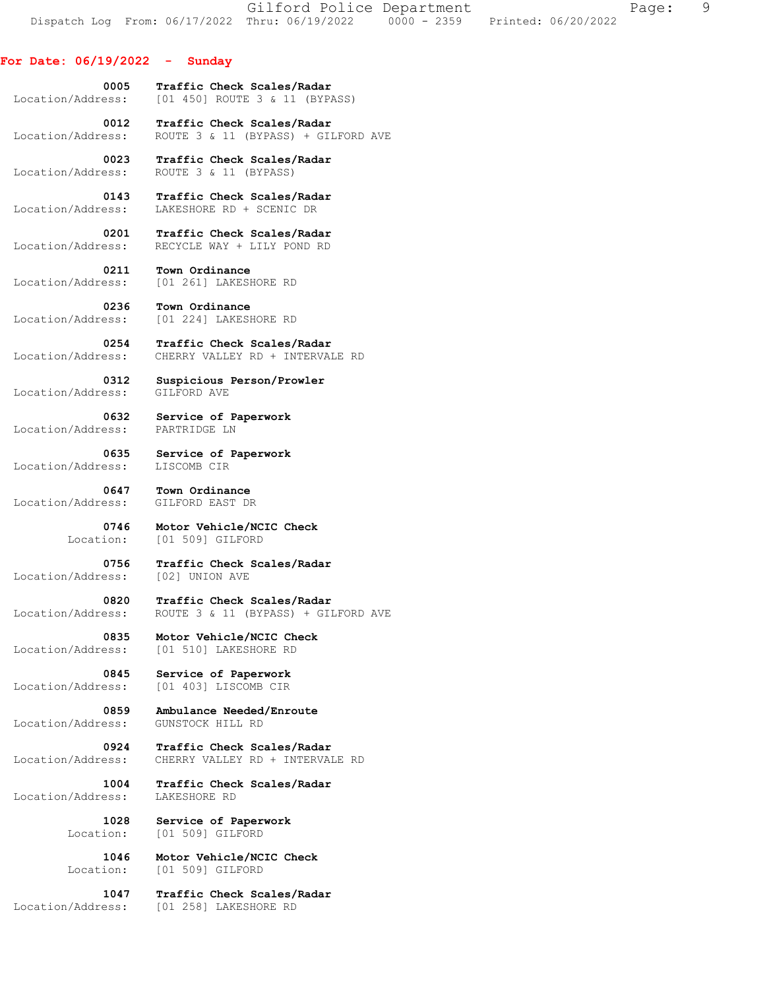Gilford Police Department Fage: 9 Dispatch Log From: 06/17/2022 Thru: 06/19/2022 0000 - 2359 Printed: 06/20/2022

## **For Date: 06/19/2022 - Sunday**

 **0005 Traffic Check Scales/Radar**  Location/Address: [01 450] ROUTE 3 & 11 (BYPASS)

 **0012 Traffic Check Scales/Radar**  Location/Address: ROUTE 3 & 11 (BYPASS) + GILFORD AVE

 **0023 Traffic Check Scales/Radar**  Location/Address: ROUTE 3 & 11 (BYPASS)

 **0143 Traffic Check Scales/Radar**  Location/Address: LAKESHORE RD + SCENIC DR

 **0201 Traffic Check Scales/Radar**  Location/Address: RECYCLE WAY + LILY POND RD

 **0211 Town Ordinance**  Location/Address: [01 261] LAKESHORE RD

 **0236 Town Ordinance**  Location/Address: [01 224] LAKESHORE RD

**0254 Traffic Check Scales/Radar** Location/Address: CHERRY VALLEY RD + INTERVAL CHERRY VALLEY RD + INTERVALE RD

 **0312 Suspicious Person/Prowler**  Location/Address: GILFORD AVE

 **0632 Service of Paperwork**  Location/Address: PARTRIDGE LN

 **0635 Service of Paperwork**  Location/Address: LISCOMB CIR

 **0647 Town Ordinance**  Location/Address: GILFORD EAST DR

 **0746 Motor Vehicle/NCIC Check**  Location: [01 509] GILFORD

 **0756 Traffic Check Scales/Radar**  Location/Address: [02] UNION AVE

 **0820 Traffic Check Scales/Radar**  Location/Address: ROUTE 3 & 11 (BYPASS) + GILFORD AVE

 **0835 Motor Vehicle/NCIC Check**  Location/Address: [01 510] LAKESHORE RD

**0845 Service of Paperwork**<br>Location/Address: [01 403] LISCOMB CIR Location/Address: [01 403] LISCOMB CIR

 **0859 Ambulance Needed/Enroute**  Location/Address: GUNSTOCK HILL RD

 **0924 Traffic Check Scales/Radar**  Location/Address: CHERRY VALLEY RD + INTERVALE RD

 **1004 Traffic Check Scales/Radar**  Location/Address:

> **1028 Service of Paperwork**  Location: [01 509] GILFORD

 **1046 Motor Vehicle/NCIC Check**  Location: [01 509] GILFORD

 **1047 Traffic Check Scales/Radar**  Location/Address: [01 258] LAKESHORE RD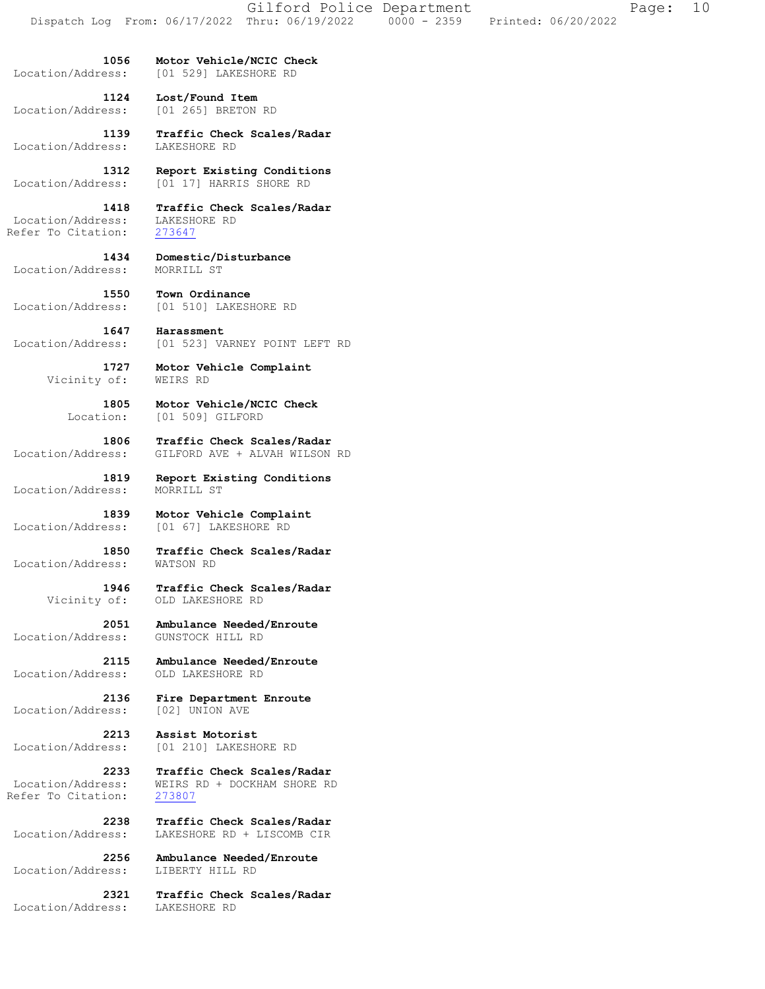**1056 Motor Vehicle/NCIC Check**  Location/Address: [01 529] LAKESHORE RD

 **1124 Lost/Found Item**  Location/Address: [01 265] BRETON RD

 **1139 Traffic Check Scales/Radar**  Location/Address: LAKESHORE RD

**1312 Report Existing Conditions**<br>Location/Address: [01 17] HARRIS SHORE RD Location/Address: [01 17] HARRIS SHORE RD

 **1418 Traffic Check Scales/Radar**  Location/Address: LAKESHORE RD Refer To Citation: 273647

 **1434 Domestic/Disturbance** 

 **1550 Town Ordinance**  Location/Address: [01 510] LAKESHORE RD

[01 523] VARNEY POINT LEFT RD

 **1727 Motor Vehicle Complaint** 

 **1805 Motor Vehicle/NCIC Check**  Location: [01 509] GILFORD

 **1806 Traffic Check Scales/Radar**  Location/Address: GILFORD AVE + ALVAH WILSON RD

 **1819 Report Existing Conditions** 

 **1839 Motor Vehicle Complaint**  Location/Address: [01 67] LAKESHORE RD

 **1850 Traffic Check Scales/Radar** 

 **1946 Traffic Check Scales/Radar**  Vicinity of: OLD LAKESHORE RD

 **2051 Ambulance Needed/Enroute** 

 **2115 Ambulance Needed/Enroute**  Location/Address: OLD LAKESHORE RD

 **2136 Fire Department Enroute** 

 **2213 Assist Motorist**  Location/Address: [01 210] LAKESHORE RD

 **2233 Traffic Check Scales/Radar**  Location/Address: WEIRS RD + DOCKHAM SHORE RD

 **2238 Traffic Check Scales/Radar**  Location/Address: LAKESHORE RD + LISCOMB CIR

 **2256 Ambulance Needed/Enroute**  Location/Address: LIBERTY HILL RD

 **2321 Traffic Check Scales/Radar**  Location/Address: LAKESHORE RD

Location/Address: MORRILL ST

**1647 Harassment**<br> **Location/Address:** [01 523] VE

Vicinity of:

Location/Address: MORRILL ST

Location/Address: WATSON RD

Location/Address:

Location/Address:

Refer To Citation: 273807